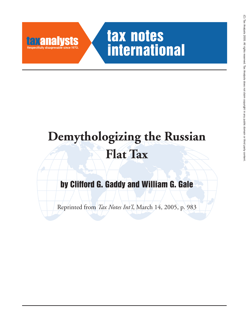

## tax notes **international**

# **Demythologizing the Russian Flat Tax**

### **by Clifford G. Gaddy and William G. Gale**

Reprinted from *Tax Notes Int'l*, March 14, 2005, p. 983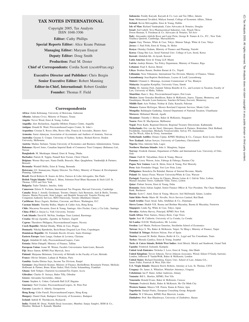## $\widehat{\odot}$  Tax Analysts 2005. All rights reserved. Tax Analysts does not claim copyright in any public domain or third partycontent.

#### **TAX NOTES INTERNATIONAL**

Copyright 2005, Tax Analysts ISSN 1048-3306

**Editor:** Cathy Phillips

**Special Reports Editor:** Alice Keane Putman

**Managing Editor:** Maryam Enayat

**Deputy Editor:** Doug Smith

**Production:** Paul M. Doster

**Chief of Correspondents:** Cordia Scott (cscott@tax.org)

**Executive Director and Publisher:** Chris Bergin **Senior Executive Editor:** Robert Manning **Editor-in-Chief, International:** Robert Goulder

**Founder:** Thomas F. Field

#### **Correspondents**

**Africa:** Zeikn Kebonang, University of Botswana, Gaborone **Albania:** Adriana Civici, Ministry of Finance, Tirana

**Angola:** Trevor Wood, Ernst & Young, Lisbon

**Anguilla:** Alex Richardson, Anguilla Offshore Finance Centre, Anguilla

**Antigua:** Donald B. Ward, PricewaterhouseCoopers Center, St. John's

**Argentina:** Cristian E. Rosso Alba, Rosso Alba, Francia & Asociados, Buenos Aires **Armenia:** Suren Adamyan, Association of Accountants and Auditors of Armenia, Yerevan **Australia:** Graeme S. Cooper, University of Sydney, Sydney; Richard Krever, Deakin University, Melbourne. **Austria:** Markus Stefaner, Vienna University of Economics and Business Administration, Vienna

**Bahamas:** Hywel Jones, Canadian Imperial Bank of Commerce Trust Company (Bahamas) Ltd., Nassau

**Bangladesh:** M. Mushtaque Ahmed, Ernst & Young, Dhaka **Barbados:** Patrick B. Toppin, Pannell Kerr Forster, Christ Church

**Belgium:** Werner Heyvaert, Nauta Dutilh, Brussels; Marc Quaghebeur, Vandendijk & Partners, Brussels

**Bermuda:** Wendell Hollis, Ernst & Young, Bermuda

**Botswana:** I.O. Sennanyana, Deputy Director, Tax Policy, Ministry of Finance & Development Planning, Gaborone

**Brazil:** David Roberto R. Soares da Silva, Farroco & Lobo Advogados, São Paulo **British Virgin Islands:** William L. Blum, Solomon Pearl Blum Heymann & Stich LLP, St. Thomas, USVI and New York

**Bulgaria:** Todor Tabakov, Interlex, Sofia

**Cameroon:** Edwin N. Forlemu, International Tax Program, Harvard University, Cambridge **Canada:** Brian J. Arnold, Goodmans, Toronto, Ontario; Jack Bernstein, Aird & Berlis, Toronto,<br>Ontario; Martin Przysuski, Srini Lalapet, and Hendrik Swaneveld, Transfer Pricing and<br>Competent Authority Services, BDO Dunwood **Caribbean:** Bruce Zagaris, Berliner, Corcoran, and Rowe, Washington, D.C. **Cayman Islands:** Timothy Ridley, Maples & Calder Asia, Hong Kong **Chile:** Macarena Navarrete, Ernst & Young, Santiago; Alex Fischer, Carey y Cia Ltda., Santiago **China (P.R.C.):** Jinyan Li, York University, Toronto **Cook Islands:** David R. McNair, Southpac Trust Limited, Rarotonga **Croatia:** Hrvoje Zgombic, Zgombic & Partners, Zagreb **Cyprus:** Theodoros Philippou, PricewaterhouseCoopers, Nicosia **Czech Republic:** Michal Dlouhy, White & Case, Prague **Denmark:** Nikolaj Bjørnholm, Bech-Bruun Dragsted Law Firm, Copenhagen **Dominican Republic:** Dr. Fernándo Ravelo Alvarez, Santo Domingo **Eastern Europe:** Iurie Lungu, Graham & Levintsa, Chisinau **Egypt:** Abdallah El Adly, PricewaterhouseCoopers, Cairo **Estonia:** Helen Pahapill, Ministry of Finance, Tallinn **European Union:** Joann M. Weiner, Facultés Universitaires Saint-Louis, Brussels **Fiji:** Bruce Sutton, KPMG Peat Marwick, Suva **Finland:** Marjaana Helminen, University of Helsinki in the Faculty of Law, Helsinki **France:** Olivier Delattre, Latham & Watkins, Paris **Gambia:** Samba Ebrima Saye, Income Tax Division, Banjul **Germany:** Jörg-Dietrich Kramer, Ministry of Finance, Berlin/Bonn; Rosemarie Portner, Meilicke Hoffmann & Partner, Bonn; Klaus Sieker, Flick Gocke Schaumburg, Frankfurt **Ghana:** Seth Terkper, Chartered Accountant/Tax Expert, Accra **Gibraltar:** Charles D. Serruya, Baker Tilly, Gibraltar **Greece:** Alexandra Gavrielides, Athens **Guam:** Stephen A. Cohen, Carlsmith Ball LLP, Hagatna **Guernsey:** Neil Crocker, PricewaterhouseCoopers, St. Peter Port **Guyana:** Lancelot A. Atherly, Georgetown **Hong Kong:** Colin Farrell, PricewaterhouseCoopers, Hong Kong **Hungary:** Daniel Deak, Budapest University of Economics, Budapest **Iceland:** Indridi H. Thorlaksson, Reykjavik

**India:** Nishith M. Desai, Nishith Desai Associates, Mumbai; Sanjay Sanghvi, RSM & Co., Mumbai; Shrikant S. Kamath, Mumbai

**Indonesia:** Freddy Karyadi, Karyadi & Co. Law and Tax Office, Jakarta **Iran:** Mohammad Tavakkol, Maliyat Journal, College of Economic Affairs, Tehran **Ireland:** Kevin McLoughlin, Ernst & Young, Dublin **Isle of Man:** Richard Vanderplank, Cains Advocates & Notaries, Douglas **Israel:** Joel Lubell, Teva Pharmaceutical Industries, Ltd., Petach Tikva; Doron Herman, S. Friedman & Co. Advocates & Notaries, Tel-Aviv **Italy:** Alessandro Adelchi Rossi and Luigi Perin, George R. Funaro & Co., P.C., New York; Gianluca Queiroli, Cambridge, Massachusetts **Japan:** Gary Thomas, White & Case, Tokyo; Shimon Takagi, White & Case, Tokyo **Jersey:** J. Paul Frith, Ernst & Young, St. Helier **Kenya:** Glenday Graham, Ministry of Finance and Planning, Nairobi **Korea:** Chang Hee Lee, Seoul National Univ. College of Law, Seoul, Korea **Kuwait:** Abdullah Kh. Al-Ayoub, Kuwait **Latin America:** Ernst & Young LLP, Miami **Latvia:** Andrejs Birums, Tax Policy Department, Ministry of Finance, Riga **Lebanon:** Fuad S. Kawar, Beirut **Libya:** Ibrahim Baruni, Ibrahim Baruni & Co., Tripoli **Lithuania:** Nora Vitkuniene, International Tax Division, Ministry of Finance, Vilnius **Luxembourg:** Jean-Baptiste Brekelmans, Loyens & Loeff, Luxembourg **Malawi:** Clement L. Mononga, Assistant Commisioner of Tax, Blantyre **Malaysia:** Jeyapalan Kasipillai, University Utara, Sintok **Malta:** Dr. Antoine Fiott, Zammit Tabona Bonello & Co., and Lecturer in Taxation, Faculty of Law, University of Malta, Valletta **Mauritius:** Ram L. Roy, PricewaterhouseCoopers, Port Louis **Mexico:** Jaime Gonzalez-Bendiksen, Baker & McKenzie, Juarez, Tijuana, Monterrey, and Guadalajara; Ricardo Leon-Santacruz, Sanchez-DeVanny Eseverri, Monterrey **Middle East:** Aziz Nishtar, Nishtar & Zafar, Karachi, Pakistan **Monaco:** Eamon McGregor, Moores Rowland Corporate Services, Monte Carlo **Mongolia:** Baldangiin Ganhuleg, General Department of National Taxation, Ulaanbaatar **Morocco:** Mohamed Marzak, Agadir **Myanmar:** Timothy J. Holzer, Baker & McKenzie, Singapore **Nauru:** Peter H. MacSporran, Melbourne **Nepal:** Prem Karki, Regional Director, Regional Treasury Directoriate, Kathmandu **Netherlands: E**ric van der Stoel, Otterspeer, Haasnoot & Partners, Rotterdam; Dick Hofland,<br>Freshfields, Amsterdam; Michaela Vrouwenvelder, Solvay NV, Amsterdam;<br>Jan Ter Wisch, Allen & Overy, Amsterdam **Netherlands Antilles:** Dennis Cijntje, KPMG Meijburg & Co., Curaçao; Koen Lozie, Deurle **New Zealand:** Adrian Sawyer, University of Canterbury, Christchurch **Nigeria:** Elias Aderemi Sulu, Lagos **Northern Mariana Islands:** John A. Manglona, Saipan **Norway:** Frederik Zimmer, Department of Public and International Law, University of Oslo, Oslo **Oman:** Fudli R. Talyarkhan, Ernst & Young, Muscat **Panama:** Leroy Watson, Arias, Fabrega & Fabrega, Panama City **Papua New Guinea:** Lutz K. Heim, Ernst & Young, Port Moresby **Peru:** Italo Fernández Origgi, Yori Law Firm, Lima **Philippines:** Benedicta Du Baladad, Bureau of Internal Revenue, Manila **Poland:** Dr. Janusz Fiszer, Warsaw University/White & Case, Warsaw **Portugal:** Francisco de Sousa da Câmara, Morais Leitao & J. Galvão Teles, Lisbon; Manuel Anselmo Torres, Galhardo Vilão, Torres, Lisbon **Qatar:** Finbarr Sexton, Ernst & Young, Doha **Romania:** Sorin Adrian Anghel, Senior Finance Officer & Vice President, The Chase Manhattan Bank, Bucharest **Russia:** Scott C. Antel, Ernst & Young, Moscow; Joel McDonald, Salans, London **Saint Kitts−Nevis:** Mario M. Novello, Nevis Services Limited, Red Bank **Saudi Arabia:** Fauzi Awad, Saba, Abulkhair & Co., Dammam **Sierra Leone:** Shakib N.K. Basma and Berthan Macaulay, Basma & Macaulay, Freetown **Singapore:** Linda Ng, White & Case, Tokyo, Japan **Slovakia:** Alzbeta Harvey, Principal, KPMG New York **South Africa:** Peter Surtees, Deneys Reitz, Cape Town **Spain:** José M. Calderón, University of La Coruña, La Coruña **Sri Lanka:** D.D.M. Waidyasekera, Mt. Lavinia **Sweden:** Leif Mutén, Professor Emeritus, Stockholm School of Economics **Taiwan:** Keye S. Wu, Baker & McKenzie, Taipei; Yu Ming-i, Ministry of Finance, Taipei **Trinidad & Tobago:** Rolston Nelson, Port of Spain **Tunisia:** Lassaad M. Bediri, Hamza, Bediri & Co., Legal and Tax Consultants, Tunis **Turkey:** Mustafa Çamlica, Ernst & Young, Istanbul **Turks & Caicos Islands, British West Indies:** Ariel Misick, Misick and Stanbrook, Grand Turk **Uganda:** Frederick Ssekandi, Kampala **United Arab Emirates:** Nicholas J. Love, Ernst & Young, Abu Dhabi **United Kingdom:** Trevor Johnson, Trevor Johnson Associates, Wirral; Eileen O'Grady, barrister, London; Jefferson P. VanderWolk, Baker & McKenzie, London **United States:** Richard Doernberg, Emory Univ. School of Law, Atlanta GA.; James Fuller, Fenwick & West, Palo Alto **U.S. Virgin Islands:** Marjorie Rawls Roberts, Attorney at Law, St. Thomas, USVI **Uruguay:** Dr. James A. Whitelaw, Whitelaw Attorneys, Uruguay **Uzbekistan:** Ian P. Slater, Arthur Andersen, Almaty **Vanuatu:** Bill L. Hawkes, KPMG, Port Vila **Venezuela:** Ronald Evans, Baker & McKenzie, Caracas **Vietnam:** Frederick Burke, Baker & McKenzie, Ho Chi Minh City **Western Samoa:** Maiava V.R. Peteru, Kamu & Peteru, Apia **Yugoslavia:** Danijel Pantic, European Consulting Group, Belgrade **Zambia:** W Z Mwanza, KPMG Peat Marwick, Lusaka **Zimbabwe:** Prof. Ben Hlatshwayo, University of Zimbabwe, Harare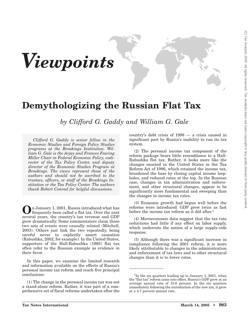

### **Demythologizing the Russian Flat Tax**

*by Clifford G. Gaddy and William G. Gale*

*Clifford G. Gaddy is senior fellow in the Economic Studies and Foreign Policy Studies programs at the Brookings Institution. William G. Gale is the Arjay and Frances Fearing Miller Chair in Federal Economic Policy, codirector of the Tax Policy Center, and deputy director of the Economic Studies Program at Brookings. The views represent those of the authors and should not be ascribed to the trustees, officers, or staff of the Brookings Institution or the Tax Policy Center. The authors thank Robert Conrad for helpful discussions.*

**O**n January 1, 2001, Russia introduced what has frequently been called a flat tax. Over the next several years, the country's tax revenue and GDP grew dramatically. Some commentators claim those two sets of events were causally related (Mitchell, 2003). Others just link the two repeatedly, being careful never to explicitly assert causation (Rabushka, 2002, for example). In the United States, supporters of the Hall-Rabushka (1995) flat tax often refer to the Russian example as evidence in their favor.

In this paper, we examine the limited research and information available on the effects of Russia's personal income tax reform and reach five principal conclusions:

(1) The change in the personal income tax was not a stand-alone reform. Rather, it was part of a comprehensive set of fiscal reforms undertaken after the

country's debt crisis of 1998 — a crisis caused in significant part by Russia's inability to run its tax system.

(2) The personal income tax component of the reform package bears little resemblance to a Hall-Rabushka flat tax. Rather, it looks more like the changes enacted in the United States in the Tax Reform Act of 1986, which retained the income tax, broadened the base by closing capital income loopholes, and reduced rates at the top. In the Russian case, changes in tax administration and enforcement, and other structural changes, appear to be significantly more fundamental and sweeping than the changes in income tax rates.

(3) Economic growth had begun well before the reforms were introduced. GDP grew twice as fast before the income tax reform as it did after.<sup>1</sup>

(4) Microeconomic data suggest that the tax rate reductions had little if any effect on labor supply, which undercuts the notion of a large supply-side response.

(5) Although there was a significant increase in compliance following the 2001 reform, it is more likely attributable to changes in the administration and enforcement of tax laws and to other structural changes than it is to lower rates.

<sup>&</sup>lt;sup>1</sup>In the six quarters leading up to January 1, 2001, when the ''flat tax'' reform came into effect, Russia's GDP grew at an average annual rate of 10.6 percent. In the six quarters immediately following the introduction of the new tax, it grew at a 4.7 percent annual rate.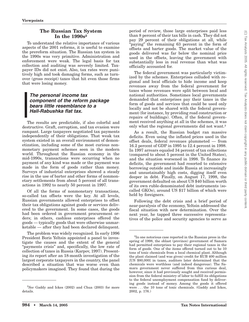#### **The Russian Tax System In the 1990s2**

To understand the relative importance of various aspects of the 2001 reforms, it is useful to examine the prereform situation. The Russian tax system in the 1990s was very primitive. Administration and enforcement were weak. The legal basis for tax collection and auditing was severely limited. Taxpayer IDs did not exist. Also, tax rates were punitively high and took damaging forms, such as turnover (gross receipt) taxes that hit even those firms that were losing money.

#### *The personal income tax component of the reform package bears little resemblance to a Hall-Rabushka flat tax.*

The results are predictable, if also colorful and destructive. Graft, corruption, and tax evasion were rampant. Large taxpayers negotiated tax payments independently of their obligations. That weak tax system existed in an overall environment of demonetization, including some of the most curious nonmonetary payment schemes seen in the modern world. Throughout the Russian economy in the mid-1990s, transactions were occurring when no payment of any kind was made or the payment was made in the form of goods rather than money. Surveys of industrial enterprises showed a steady rise in the use of barter and other forms of nonmonetary settlements from about 5 percent of all transactions in 1992 to nearly 50 percent in 1997.

Of all the forms of nonmonetary transactions, so-called tax offsets were the key. At all levels, Russian governments allowed enterprises to offset their tax obligations against goods or services delivered to the government. In some cases, the goods had been ordered in government procurement orders; in others, cashless enterprises offered the goods — typically goods that were otherwise unmarketable — after they had been declared delinquent.

The problem was widely recognized. In early 1996 President Boris Yeltsin appointed a panel to investigate the causes and the extent of the general "payments crisis" and, specifically, the low rate of collection of taxes in Russia (Karpov, 1997). Presenting its report after an 18-month investigation of the largest corporate taxpayers in the country, the panel described a situation that was worse even than policymakers imagined. They found that during the

period of review, those large enterprises paid less than 8 percent of their tax bills in cash. They did not pay 29 percent of their obligations at all, while "paying" the remaining 63 percent in the form of offsets and barter goods. The market value of the goods delivered was far below the nominal price used in the offsets, leaving the government with substantially less in real revenue than what was officially accounted for.

The federal government was particularly victimized by the schemes. Enterprises colluded with regional and local officials to hide income and keep revenues away from the federal government for taxes whose revenues were split between local and national authorities. Sometimes local governments demanded that enterprises pay their taxes in the form of goods and services that could be used only locally and not be shared with the federal government (for instance, by providing road construction or repairs of buildings). Often, if the federal government received anything at all in the schemes, it was only what the regional governments did not want.3

As a result, the Russian budget ran massive deficits. Even using the inflated prices used in the offset deals, federal revenues plummeted — from 16.2 percent of GDP in 1995 to 12.4 percent in 1998. In 1997 arrears equaled 34 percent of tax collections (compared to about 5 percent in the United States), and the situation worsened in 1998. To finance its deficits, the government had resorted to extensive borrowing outside and inside Russia at increasingly and unsustainably high costs, digging itself even deeper in debt. Finally, on August 17, 1998, the government defaulted on about US \$40 billion worth of its own ruble-denominated debt instruments (socalled GKOs), around US \$17 billion of which were held by foreigners.

Following the debt crisis and a brief period of near-paralysis of the economy, Yeltsin addressed the fiscal situation with new determination. Over the next year, he tapped three successive representatives of the police and security agencies to serve as

<sup>2</sup> *See* Gaddy and Ickes (2002) and Chua (2003) for more details.

<sup>3</sup> In one notorious case reported in the Russian press in the spring of 1998, the oblast (province) government of Samara had permitted enterprises to pay their regional taxes in the form of goods. One of the items offered turned out to be 10 tons of toxic chemicals from a local chemical plant. Although the plant claimed (and was given) credit for RUB 400 million [US \$80,000] in taxes, auditors later determined that the chemicals were worthless (and indeed dangerous). The Samara government never suffered from this curious deal, however, since it had previously sought and received permission from the federal ministry of labor to fulfill its obligations to the federal unemployment compensation fund by delivering goods instead of money. Among the goods it offered were . . . the 10 tons of toxic chemicals. (Gaddy and Ickes, 2002, p. 176.)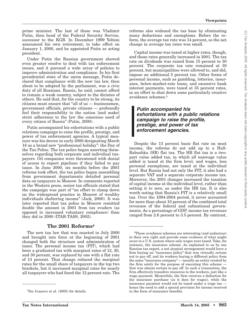prime minister. The last of those was Vladimir Putin, then head of the Federal Security Service, successor to the KGB. In December 1999 Yeltsin announced his own retirement, to take effect on January 1, 2000, and he appointed Putin as acting president.

Under Putin the Russian government showed even greater resolve to deal with tax enforcement issues, and it pursued a wide array of policies to improve administration and compliance. In his first presidential state of the union message, Putin declared that compliance with the new tax law, then about to be adopted by the parliament, was a civic duty of all Russians. Russia, he said, cannot afford to remain a weak country, subject to the dictates of others. He said that, for the country to be strong, its citizens must ensure that ''all of us — businessmen, government officials, private citizens — profoundly feel their responsibility to the nation [and make] strict adherence to the law the conscious need of every citizen of Russia'' (Putin, 2000).

Putin accompanied his exhortations with a public relations campaign to raise the profile, prestige, and power of tax enforcement agencies. A typical measure was his decree in early 2000 designating March 18 as a brand new ''professional holiday'': the Day of the Tax Police. The tax police began asserting themselves regarding both corporate and individual taxpayers. Oil companies were threatened with denial of access to export pipelines if they failed to pay taxes. In June 2000, six months before the 2001 reforms took effect, the tax police began assembling from government departments detailed personal data on taxpayers in Moscow. In comments reported in the Western press, senior tax officials stated that the campaign was part of ''an effort to clamp down on the widespread practice in Moscow of wealthy individuals sheltering income'' (Jack, 2000). It was later reported that tax police in Moscow remitted double the amount in 2001 from tax evaders (as opposed to increased voluntary compliance) than they did in 2000 (ITAR-TASS, 2002).

#### **The 2001 Reforms4**

The new tax law that was enacted in July 2000 and brought into force at the beginning of 2001 changed both the structure and administration of taxes. The personal income tax (PIT), which had been a graduated tax with marginal rates of 12, 20, and 30 percent, was replaced by one with a flat rate of 13 percent. That change reduced the marginal rates for the small share of taxpayers in the top two brackets, but it increased marginal rates for nearly all taxpayers who had faced the 12 percent rate. The

reforms also widened the tax base by eliminating many deductions and exemptions. Before the reform, the average tax rate was 14 percent, so the net change in average tax rates was small.

Capital income was taxed at higher rates, though, and those rates generally increased in 2001. The tax rate on dividends was raised from 15 percent to 30 percent. The corporate tax rate remained at 30 percent, but municipalities were allowed to, and did, impose an additional 5 percent tax. Other forms of personal income, such as gambling, lotteries, insurance, below-market-rate loans, and excessive bank interest payments, were taxed at 35 percent rates, in an effort to shut down some particularly creative avoidance schemes.5

#### *Putin accompanied his exhortations with a public relations campaign to raise the profile, prestige, and power of tax enforcement agencies.*

Despite the 13 percent basic flat rate on most income, the reforms do not add up to a Hall-Rabushka (HR) flat tax. The HR flat tax is a twopart value added tax, in which all nonwage value added is taxed at the firm level, and wages, less personal exemptions, are taxed at the individual level. But Russia had not only the PIT, it also had a separate VAT and a separate corporate income tax. Moreover, the 2001 changes increased the taxation of capital income at the individual level, rather than setting it to zero, as under the HR tax. It is also worth noting that Russia's PIT is a relatively small tax. Over the 1994-2004 period, it never accounted for more than about 10 percent of the combined total revenues of the federal and subnational governments. As a percentage of GDP, income tax revenues ranged from 2.6 percent to 3.5 percent. By contrast,

<sup>4</sup> *See* Ivanova et al. (2005) for details.

<sup>5</sup> These avoidance schemes are interesting (and audacious) in their own right and provide some evidence of what might occur in a U.S. system where only wages were taxed. Take, for instance, the insurance scheme. As explained to us by one Russian tax expert, a not atypical arrangement would have a firm buying an ''insurance policy'' that was virtually certain not to pay off, and its workers buying a different policy from the same "insurance company" — usually an entity created by the firm solely for the purpose of executing this scheme that was almost certain to pay off. In such a transaction, the firm effectively transfers resources to the workers, just like a wage payment. Meanwhile, the firm receives a deduction for the insurance purchase (as it does for wages), while the insurance payment would not be taxed under a wage tax hence the need to add a special provision for income received in the form of insurance benefits.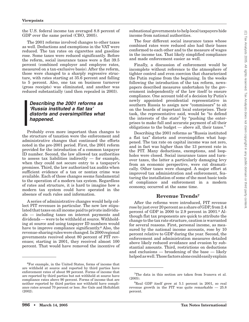the U.S. federal income tax averaged 8.8 percent of GDP over the same period (CBO, 2005).

The 2001 reforms involved changes to other taxes as well. Deductions and exemptions in the VAT were reduced. The tax rates on cigarettes and gasoline rose. Some taxes were reduced significantly. Before the reform, social insurance taxes were a flat 39.5 percent (combined employer and employee rates, measured on a tax-exclusive basis). After the reform, those were changed to a sharply regressive structure, with rates starting at 35.6 percent and falling to 5 percent. Also, one tax on business turnover (gross receipts) was eliminated, and another was reduced substantially (and then repealed in 2003).

#### *Describing the 2001 reforms as 'Russia instituted a flat tax' distorts and oversimplifies what happened.*

Probably even more important than changes to the structure of taxation were the enforcement and administrative changes that continued the efforts noted in the pre-2001 period. First, the 2001 reform provided for the introduction of a common taxpayer ID number. Second, the law allowed tax authorities to assess tax liabilities indirectly  $-$  for example, when they could not secure entry to a taxpayer's premises. Third, the law authorized tax audits when sufficient evidence of a tax or nontax crime was available. Each of those changes seems fundamental to the operation of a modern tax system. Regardless of rates and structure, it is hard to imagine how a modern tax system could have operated in the absence of such rules and information.

A series of administrative changes would help collect PIT revenues in particular. The new law stipulated that taxes on all income paid to private individuals — including taxes on interest payments and dividends — were to be withheld at source. Withholding at source and using taxpayer ID numbers would have to improve compliance significantly.<sup>6</sup> Also, the revenue-sharing ruleswere changed. In 2000 regional governments received about 80 percent of PIT revenues; starting in 2001, they received almost 100 percent. That would have removed the incentive of subnational governments to help local taxpayers hide income from national authorities.

The four different social insurance taxes whose combined rates were reduced also had their bases conformed to each other and to the measure of wages in the income tax. That likely simplified compliance and made enforcement easier as well.

Finally, a discussion of enforcement would be incomplete without reference to the atmosphere of tighter control and even coercion that characterized the Putin regime from the beginning. In the weeks following the introduction of the tax reform, newspapers described measures undertaken by the government independently of the law itself to ensure compliance. One account told of a decision by Putin's newly appointed presidential representative in southern Russia to assign new "commissars" to sit on the boards of important local enterprises. Their task, the representative said, would be ''to defend the interests of the state'' by ''pushing the enterprises to make full and accurate payment of all their obligations to the budget — above all, their taxes.''

Describing the 2001 reforms as ''Russia instituted a flat tax'' distorts and oversimplifies what happened. The tax rate on capital income was not zero, and in fact was higher than the 13 percent rate in the PIT. Many deductions, exemptions, and loopholes were closed. Social insurance taxes and turnover taxes, the latter a particularly damaging levy from an economic perspective, were cut dramatically. Other taxes were changed. A major effort at improved tax administration and enforcement, featuring the installation of some of the most basic tools of compliance and enforcement in a modern economy, occurred at the same time.

#### **Revenue Trends7**

After the reforms were introduced, PIT revenue rose by just over 20 percent as a share of GDP, from 2.4 percent of GDP in 2000 to 2.9 percent in 2001.8 Although flat tax proponents are quick to attribute the change to the tax rate structure, caution is warranted for several reasons. First, personal income, as measured by the national income accounts, rose by 10 percent relative to GDP during the year. Second, the enforcement and administration measures detailed above likely reduced avoidance and evasion by substantial amounts. Third, restrictions on deductions and exclusions — broadening of the base — likely helpedaswell.Those factorsalonecould easily explain

<sup>6</sup> For example, in the United States, forms of income that are withheld at source and reported by third parties have enforcement rates of about 99 percent. Forms of income that are reported by third parties but not withheld at source have compliance rates above 90 percent. Forms of income that are neither reported by third parties nor withheld have compliance rates around 70 percent or less. *See* Gale and Holtzblatt (2002).

<sup>7</sup> The data in this section are taken from Ivanova et al. (2005).

<sup>8</sup> Real GDP itself grew at 5.1 percent in 2001, so real revenue growth in the PIT was quite remarkable — 25.8 percent.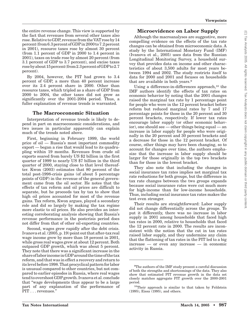the entire revenue change. This view is supported by the fact that revenues from several other taxes also rose. Relative to GDP, revenue from the VAT rose by 14 percent (from 6.3 percent ofGDP in 2000 to 7.2 percent in 2001), resource taxes rose by almost 30 percent (from 1.1 percent of GDP in 2000 to 1.4 percent in 2001), taxes on trade rose by almost 20 percent (from 3.1 percent of GDP to 3.7 percent), and excise taxes rosebyabout15percent (from2.3percent ofGDPto2.7 percent).

By 2004, however, the PIT had grown to 3.4 percent of GDP, a more than 40 percent increase over its 2.4 percent share in 2000. Other than resource taxes, which tripled as a share of GDP from 2000 to 2004, the other taxes did not grow as significantly over the 2001-2004 period. Thus, a fuller explanation of revenue trends is warranted.

#### **The Macroeconomic Situation**

Interpretation of revenue trends is likely to depend in part on macroeconomic considerations, and two issues in particular apparently can explain much of the trends noted above.

First, beginning in February 1999, the world price of oil — Russia's most important commodity export — began a rise that would lead to its quadrupling within 19 months. Revenues from crude oil exports soared from barely US \$2 billion in the first quarter of 1999 to nearly US \$7 billion in the third quarter of 2000, staying close to that level thereafter. Kwon (2003) estimates that 80 percent of the total post-1998-crisis gains (of about 5 percentage points of GDP) in the revenue of the general government came from the oil sector. He notes that the effects of tax reform and oil prices are difficult to separate, but he proceeds tax by tax to show that high oil prices accounted for most of the revenue gains. Tax reform, Kwon argues, played a secondary role and did so largely by making the tax regime more elastic to oil prices. He also provides an interesting corroborating analysis showing that Russia's revenue performance in the postcrisis period does not differ from that of other oil-exporting countries.

Second, wages grew rapidly after the debt crisis. Ivanova et al. (2005, p. 19) point out that after-tax real wage income grew by more than 18 percent in 2001, while gross real wages grew at about 12 percent. Both outpaced GDP growth, which was about 5 percent. They note that there was a significant increase in the share of labor income inGDParound the time of the tax reform, and that was in effect a recovery and return to its level before 1998. That procyclical pattern for labor is unusual compared to other countries, but not compared to earlier episodes in Russia, where real wages tend to overshoot GDP growth. Ivanova et al. conclude that ''wage developments thus appear to be a large part of any explanation of the performance of PIT . . . revenues.''

#### **Microevidence on Labor Supply**

Although the macroanalyses are suggestive, more compelling evidence on the effects of the tax rate changes can be obtained from microeconomic data. A study by the International Monetary Fund (IMF) (Ivanova et al., 2005) uses data from the Russian Longitudinal Monitoring Survey, a household survey that provides data on income and other characteristics of about 3,500 adults for most years between 1994 and 2002. The study restricts itself to data for 2000 and 2001 and focuses on households that are available in both years.9

Using a difference-in-differences approach, $10$  the IMF authors identify the effects of tax rates on economic behavior by noting that the 2001 changes raised the marginal tax rate by 1 percentage point for people who were in the 12 percent bracket before reform but reduced marginal rates by 7 and 17 percentage points for those in the 20 percent and 30 percent brackets, respectively. If lower tax rates encourage labor supply (or other economic behavior), one should see — other things being equal — an increase in labor supply for people who were originally in the 20 percent and 30 percent brackets and a decrease for those in the 12 percent bracket. Of course, other things may have been changing, so to account for changes over time, the authors emphasize that the increase in labor supply should be larger for those originally in the top two brackets than for those in the lowest bracket.

They also note that including the changes in social insurance tax rates implies net marginal tax rate reductions for both groups, but the difference in tax rate changes between the two groups expands because social insurance rates were cut much more for high-income than for low-income households. Thus, including social insurance tax rates makes the test even stronger.

Their results are straightforward: Labor supply did not change differentially across the groups. To put it differently, there was no increase in labor supply in 2001 among households that faced high tax rates in 2000, relative to households that faced the 12 percent rate in 2000. The results are inconsistent with the notion that the cut in tax rates raised labor supply, and they undermine any claim that the flattening of tax rates in the PIT led to a big increase — or even any increase — in economic activity in Russia.

<sup>&</sup>lt;sup>9</sup>The authors of the IMF study present a careful discussion of both the strengths and shortcomings of the data. They also show that estimated PIT revenue growth in the data set closely matches aggregate PIT growth over the 2000-2001 period.

<sup>10</sup>Their approach is similar to that taken by Feldstein (1995), Eissa (1995), and others.